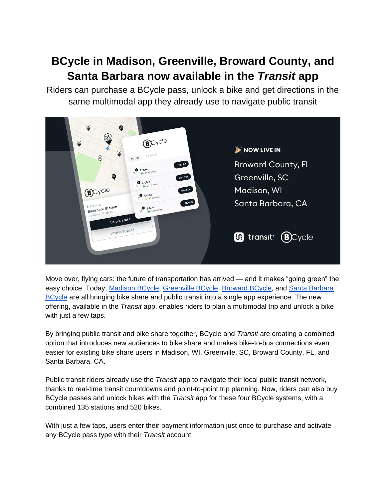## **BCycle in Madison, Greenville, Broward County, and Santa Barbara now available in the** *Transit* **app**

Riders can purchase a BCycle pass, unlock a bike and get directions in the same multimodal app they already use to navigate public transit



Move over, flying cars: the future of transportation has arrived — and it makes "going green" the easy choice. Today, [Madison BCycle,](https://madison.bcycle.com/) [Greenville BCycle,](https://greenville.bcycle.com/) [Broward BCycle,](https://broward.bcycle.com/) and [Santa Barbara](https://santabarbara.bcycle.com/)  [BCycle](https://santabarbara.bcycle.com/) are all bringing bike share and public transit into a single app experience. The new offering, available in the *Transit* app, enables riders to plan a multimodal trip and unlock a bike with just a few taps.

By bringing public transit and bike share together, BCycle and *Transit* are creating a combined option that introduces new audiences to bike share and makes bike-to-bus connections even easier for existing bike share users in Madison, WI, Greenville, SC, Broward County, FL, and Santa Barbara, CA.

Public transit riders already use the *Transit* app to navigate their local public transit network, thanks to real-time transit countdowns and point-to-point trip planning. Now, riders can also buy BCycle passes and unlock bikes with the *Transit* app for these four BCycle systems, with a combined 135 stations and 520 bikes.

With just a few taps, users enter their payment information just once to purchase and activate any BCycle pass type with their *Transit* account.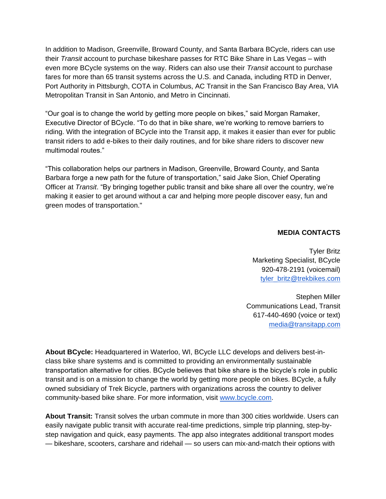In addition to Madison, Greenville, Broward County, and Santa Barbara BCycle, riders can use their *Transit* account to purchase bikeshare passes for RTC Bike Share in Las Vegas – with even more BCycle systems on the way. Riders can also use their *Transit* account to purchase fares for more than 65 transit systems across the U.S. and Canada, including RTD in Denver, Port Authority in Pittsburgh, COTA in Columbus, AC Transit in the San Francisco Bay Area, VIA Metropolitan Transit in San Antonio, and Metro in Cincinnati.

"Our goal is to change the world by getting more people on bikes," said Morgan Ramaker, Executive Director of BCycle. "To do that in bike share, we're working to remove barriers to riding. With the integration of BCycle into the Transit app, it makes it easier than ever for public transit riders to add e-bikes to their daily routines, and for bike share riders to discover new multimodal routes."

"This collaboration helps our partners in Madison, Greenville, Broward County, and Santa Barbara forge a new path for the future of transportation," said Jake Sion, Chief Operating Officer at *Transit*. "By bringing together public transit and bike share all over the country, we're making it easier to get around without a car and helping more people discover easy, fun and green modes of transportation."

## **MEDIA CONTACTS**

Tyler Britz Marketing Specialist, BCycle 920-478-2191 (voicemail) [tyler\\_britz@trekbikes.com](mailto:tyler_britz@trekbikes.com)

Stephen Miller Communications Lead, Transit 617-440-4690 (voice or text) [media@transitapp.com](mailto:media@transitapp.com)

**About BCycle:** Headquartered in Waterloo, WI, BCycle LLC develops and delivers best-inclass bike share systems and is committed to providing an environmentally sustainable transportation alternative for cities. BCycle believes that bike share is the bicycle's role in public transit and is on a mission to change the world by getting more people on bikes. BCycle, a fully owned subsidiary of Trek Bicycle, partners with organizations across the country to deliver community-based bike share. For more information, visit [www.bcycle.com.](http://www.bcycle.com/)

**About Transit:** Transit solves the urban commute in more than 300 cities worldwide. Users can easily navigate public transit with accurate real-time predictions, simple trip planning, step-bystep navigation and quick, easy payments. The app also integrates additional transport modes — bikeshare, scooters, carshare and ridehail — so users can mix-and-match their options with